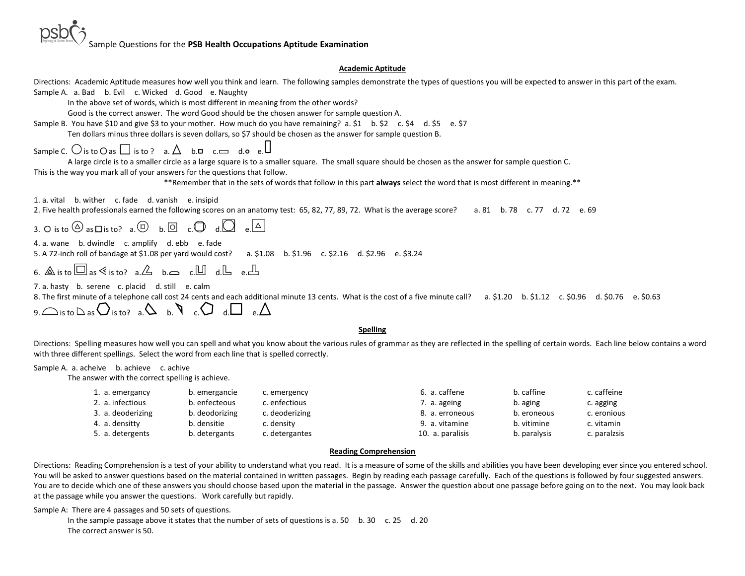Sample Questions for the **PSB Health Occupations Aptitude Examination**

## **Academic Aptitude**

| Directions: Academic Aptitude measures how well you think and learn. The following samples demonstrate the types of questions you will be expected to answer in this part of the exam.                          |
|-----------------------------------------------------------------------------------------------------------------------------------------------------------------------------------------------------------------|
| Sample A. a. Bad b. Evil c. Wicked d. Good e. Naughty                                                                                                                                                           |
| In the above set of words, which is most different in meaning from the other words?                                                                                                                             |
| Good is the correct answer. The word Good should be the chosen answer for sample question A.                                                                                                                    |
| Sample B. You have \$10 and give \$3 to your mother. How much do you have remaining? a. \$1 b. \$2 c. \$4 d. \$5 e. \$7                                                                                         |
| Ten dollars minus three dollars is seven dollars, so \$7 should be chosen as the answer for sample question B.                                                                                                  |
| Sample C. $\bigcirc$ is to $\bigcirc$ as $\bigcirc$ is to ? a. $\bigtriangleup$ b. $\Box$ c. $\Longrightarrow$ d. o e. $\Box$                                                                                   |
| A large circle is to a smaller circle as a large square is to a smaller square. The small square should be chosen as the answer for sample question C.                                                          |
| This is the way you mark all of your answers for the questions that follow.                                                                                                                                     |
| **Remember that in the sets of words that follow in this part always select the word that is most different in meaning.**                                                                                       |
| 1. a. vital b. wither c. fade d. vanish e. insipid<br>2. Five health professionals earned the following scores on an anatomy test: 65, 82, 77, 89, 72. What is the average score? a. 81 b. 78 c. 77 d. 72 e. 69 |
| 3. O is to $\circledcirc$ as $\Box$ is to? a. $\circledcirc$ b. $\Box$ c. $\bigcirc$ d. $\bigcirc$ e. $\Box$                                                                                                    |
| 4. a. wane b. dwindle c. amplify d. ebb e. fade                                                                                                                                                                 |
| 5. A 72-inch roll of bandage at \$1.08 per yard would cost? a. \$1.08 b. \$1.96 c. \$2.16 d. \$2.96 e. \$3.24                                                                                                   |
| 6. $\triangle$ is to $\square$ as $\leq$ is to? a. $\triangle$ b. $\square$ c. $\square$ d. $\square$ e. $\square$                                                                                              |
| 7. a. hasty b. serene c. placid d. still e. calm                                                                                                                                                                |
| 8. The first minute of a telephone call cost 24 cents and each additional minute 13 cents. What is the cost of a five minute call?<br>a. \$1.20 b. \$1.12 c. \$0.96 d. \$0.76 e. \$0.63                         |
| 9. $\bigcap_{B}$ o $\bigcap_{\alpha}$ is to $\bigcap_{\alpha}$ is to? a. $\bigcirc$ a. $\bigcirc$ a. $\bigcirc$ a. $\bigcirc$ a. $\bigcirc$ a. $\bigcirc$                                                       |
| <b>Spelling</b>                                                                                                                                                                                                 |
|                                                                                                                                                                                                                 |

Directions: Spelling measures how well you can spell and what you know about the various rules of grammar as they are reflected in the spelling of certain words. Each line below contains a word with three different spellings. Select the word from each line that is spelled correctly.

# Sample A. a. acheive b. achieve c. achive

The answer with the correct spelling is achieve.

| 1. a. emergancy   | b. emergancie  | c. emergency   | 6. a. caffene    | b. caffine   | c. caffeine  |
|-------------------|----------------|----------------|------------------|--------------|--------------|
| 2. a. infectious  | b. enfecteous  | c. enfectious  | 7. a. ageing     | b. aging     | c. agging    |
| 3. a. deoderizing | b. deodorizing | c. deoderizing | 8. a. erroneous  | b. eroneous  | c. eronious  |
| 4. a. densitty    | b. densitie    | c. density     | 9. a. vitamine   | b. vitimine  | c. vitamin   |
| 5. a. detergents  | b. detergants  | c. detergantes | 10. a. paralisis | b. paralysis | c. paralzsis |

### **Reading Comprehension**

Directions: Reading Comprehension is a test of your ability to understand what you read. It is a measure of some of the skills and abilities you have been developing ever since you entered school. You will be asked to answer questions based on the material contained in written passages. Begin by reading each passage carefully. Each of the questions is followed by four suggested answers. You are to decide which one of these answers you should choose based upon the material in the passage. Answer the question about one passage before going on to the next. You may look back at the passage while you answer the questions. Work carefully but rapidly.

Sample A: There are 4 passages and 50 sets of questions.

In the sample passage above it states that the number of sets of questions is a. 50 b. 30 c. 25 d. 20 The correct answer is 50.